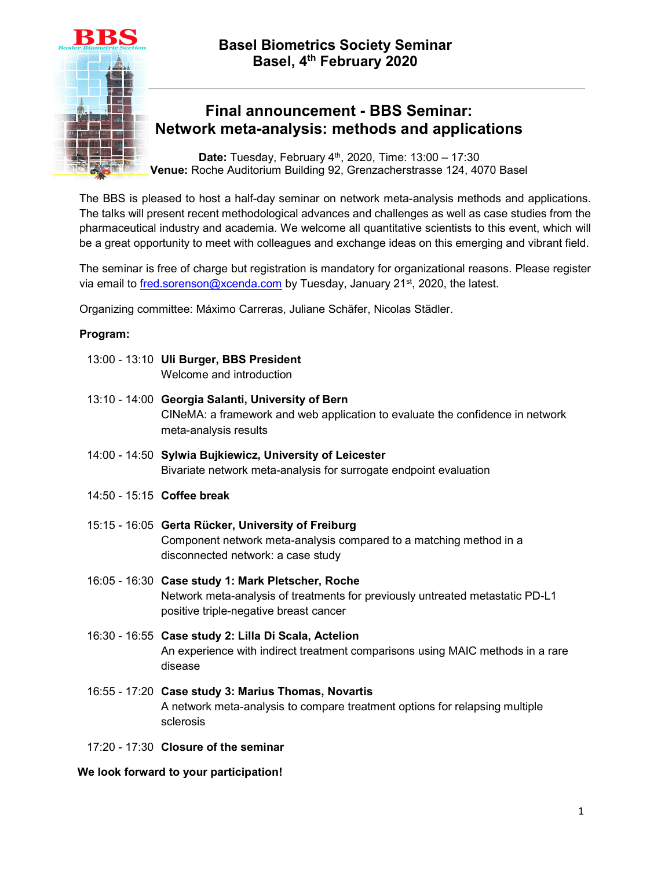



## Final announcement - BBS Seminar: Network meta-analysis: methods and applications

**Date:** Tuesday, February  $4<sup>th</sup>$ , 2020, Time:  $13:00 - 17:30$ Venue: Roche Auditorium Building 92, Grenzacherstrasse 124, 4070 Basel

The BBS is pleased to host a half-day seminar on network meta-analysis methods and applications. The talks will present recent methodological advances and challenges as well as case studies from the pharmaceutical industry and academia. We welcome all quantitative scientists to this event, which will be a great opportunity to meet with colleagues and exchange ideas on this emerging and vibrant field.

The seminar is free of charge but registration is mandatory for organizational reasons. Please register via email to *fred.sorenson@xcenda.com* by Tuesday, January 21<sup>st</sup>, 2020, the latest.

Organizing committee: Máximo Carreras, Juliane Schäfer, Nicolas Städler.

### Program:

- 13:00 13:10 Uli Burger, BBS President Welcome and introduction
- 13:10 14:00 Georgia Salanti, University of Bern CINeMA: a framework and web application to evaluate the confidence in network meta-analysis results
- 14:00 14:50 Sylwia Bujkiewicz, University of Leicester Bivariate network meta-analysis for surrogate endpoint evaluation
- 14:50 15:15 Coffee break
- 15:15 16:05 Gerta Rücker, University of Freiburg Component network meta-analysis compared to a matching method in a disconnected network: a case study
- 16:05 16:30 Case study 1: Mark Pletscher, Roche Network meta-analysis of treatments for previously untreated metastatic PD-L1 positive triple-negative breast cancer
- 16:30 16:55 Case study 2: Lilla Di Scala, Actelion An experience with indirect treatment comparisons using MAIC methods in a rare disease
- 16:55 17:20 Case study 3: Marius Thomas, Novartis A network meta-analysis to compare treatment options for relapsing multiple sclerosis
- 17:20 17:30 Closure of the seminar

We look forward to your participation!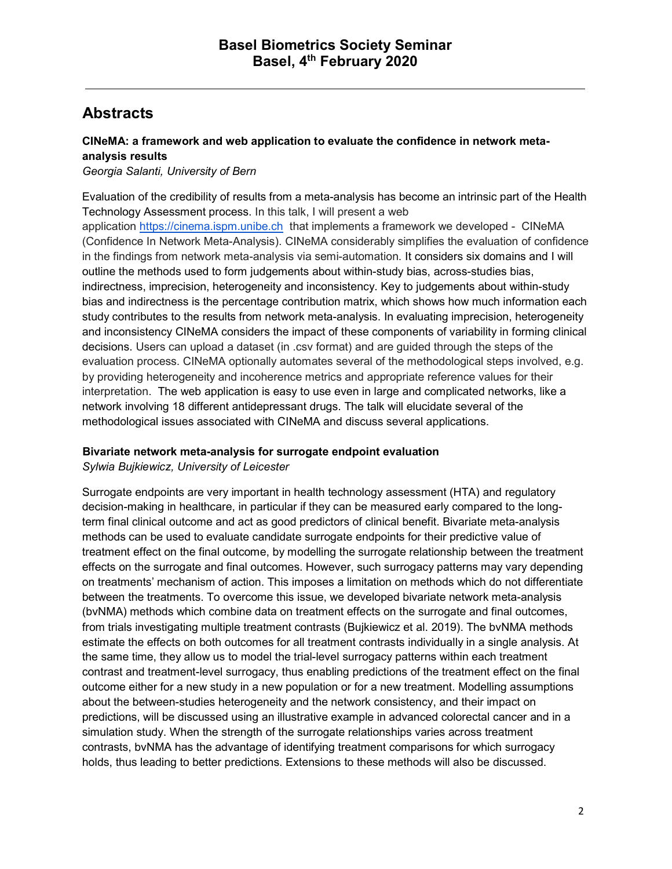# Abstracts

## CINeMA: a framework and web application to evaluate the confidence in network metaanalysis results

Georgia Salanti, University of Bern

Evaluation of the credibility of results from a meta-analysis has become an intrinsic part of the Health Technology Assessment process. In this talk, I will present a web application https://cinema.ispm.unibe.ch that implements a framework we developed - CINeMA (Confidence In Network Meta-Analysis). CINeMA considerably simplifies the evaluation of confidence in the findings from network meta-analysis via semi-automation. It considers six domains and I will outline the methods used to form judgements about within-study bias, across-studies bias, indirectness, imprecision, heterogeneity and inconsistency. Key to judgements about within-study bias and indirectness is the percentage contribution matrix, which shows how much information each study contributes to the results from network meta-analysis. In evaluating imprecision, heterogeneity and inconsistency CINeMA considers the impact of these components of variability in forming clinical decisions. Users can upload a dataset (in .csv format) and are guided through the steps of the evaluation process. CINeMA optionally automates several of the methodological steps involved, e.g. by providing heterogeneity and incoherence metrics and appropriate reference values for their interpretation. The web application is easy to use even in large and complicated networks, like a network involving 18 different antidepressant drugs. The talk will elucidate several of the methodological issues associated with CINeMA and discuss several applications.

### Bivariate network meta-analysis for surrogate endpoint evaluation

Sylwia Bujkiewicz, University of Leicester

Surrogate endpoints are very important in health technology assessment (HTA) and regulatory decision-making in healthcare, in particular if they can be measured early compared to the longterm final clinical outcome and act as good predictors of clinical benefit. Bivariate meta-analysis methods can be used to evaluate candidate surrogate endpoints for their predictive value of treatment effect on the final outcome, by modelling the surrogate relationship between the treatment effects on the surrogate and final outcomes. However, such surrogacy patterns may vary depending on treatments' mechanism of action. This imposes a limitation on methods which do not differentiate between the treatments. To overcome this issue, we developed bivariate network meta-analysis (bvNMA) methods which combine data on treatment effects on the surrogate and final outcomes, from trials investigating multiple treatment contrasts (Bujkiewicz et al. 2019). The bvNMA methods estimate the effects on both outcomes for all treatment contrasts individually in a single analysis. At the same time, they allow us to model the trial-level surrogacy patterns within each treatment contrast and treatment-level surrogacy, thus enabling predictions of the treatment effect on the final outcome either for a new study in a new population or for a new treatment. Modelling assumptions about the between-studies heterogeneity and the network consistency, and their impact on predictions, will be discussed using an illustrative example in advanced colorectal cancer and in a simulation study. When the strength of the surrogate relationships varies across treatment contrasts, bvNMA has the advantage of identifying treatment comparisons for which surrogacy holds, thus leading to better predictions. Extensions to these methods will also be discussed.